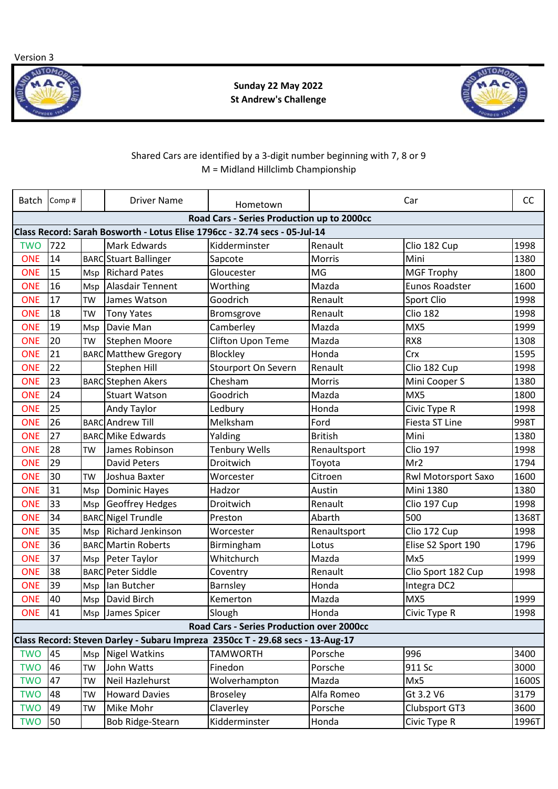Version 3



**Sunday 22 May 2022 St Andrew's Challenge** 



## Shared Cars are identified by a 3-digit number beginning with 7, 8 or 9 M = Midland Hillclimb Championship

| Batch                                                                      | Comp# |           | <b>Driver Name</b>                                                             | Hometown                                   |                | Car                   | <b>CC</b> |
|----------------------------------------------------------------------------|-------|-----------|--------------------------------------------------------------------------------|--------------------------------------------|----------------|-----------------------|-----------|
|                                                                            |       |           |                                                                                | Road Cars - Series Production up to 2000cc |                |                       |           |
| Class Record: Sarah Bosworth - Lotus Elise 1796cc - 32.74 secs - 05-Jul-14 |       |           |                                                                                |                                            |                |                       |           |
| <b>TWO</b>                                                                 | 722   |           | Mark Edwards                                                                   | Kidderminster                              | Renault        | Clio 182 Cup          | 1998      |
| <b>ONE</b>                                                                 | 14    |           | <b>BARC</b> Stuart Ballinger                                                   | Sapcote                                    | Morris         | Mini                  | 1380      |
| <b>ONE</b>                                                                 | 15    | Msp       | <b>Richard Pates</b>                                                           | Gloucester                                 | <b>MG</b>      | <b>MGF Trophy</b>     | 1800      |
| <b>ONE</b>                                                                 | 16    | Msp       | <b>Alasdair Tennent</b>                                                        | Worthing                                   | Mazda          | <b>Eunos Roadster</b> | 1600      |
| <b>ONE</b>                                                                 | 17    | <b>TW</b> | James Watson                                                                   | Goodrich                                   | Renault        | Sport Clio            | 1998      |
| <b>ONE</b>                                                                 | 18    | TW        | <b>Tony Yates</b>                                                              | Bromsgrove                                 | Renault        | <b>Clio 182</b>       | 1998      |
| <b>ONE</b>                                                                 | 19    | Msp       | Davie Man                                                                      | Camberley                                  | Mazda          | MX5                   | 1999      |
| <b>ONE</b>                                                                 | 20    | TW        | <b>Stephen Moore</b>                                                           | Clifton Upon Teme                          | Mazda          | RX8                   | 1308      |
| <b>ONE</b>                                                                 | 21    |           | <b>BARC</b> Matthew Gregory                                                    | Blockley                                   | Honda          | Crx                   | 1595      |
| <b>ONE</b>                                                                 | 22    |           | <b>Stephen Hill</b>                                                            | Stourport On Severn                        | Renault        | Clio 182 Cup          | 1998      |
| <b>ONE</b>                                                                 | 23    |           | <b>BARC</b> Stephen Akers                                                      | Chesham                                    | <b>Morris</b>  | Mini Cooper S         | 1380      |
| <b>ONE</b>                                                                 | 24    |           | <b>Stuart Watson</b>                                                           | Goodrich                                   | Mazda          | MX5                   | 1800      |
| <b>ONE</b>                                                                 | 25    |           | Andy Taylor                                                                    | Ledbury                                    | Honda          | Civic Type R          | 1998      |
| <b>ONE</b>                                                                 | 26    |           | <b>BARC</b> Andrew Till                                                        | Melksham                                   | Ford           | Fiesta ST Line        | 998T      |
| <b>ONE</b>                                                                 | 27    |           | <b>BARC</b> Mike Edwards                                                       | Yalding                                    | <b>British</b> | Mini                  | 1380      |
| <b>ONE</b>                                                                 | 28    | <b>TW</b> | James Robinson                                                                 | <b>Tenbury Wells</b>                       | Renaultsport   | <b>Clio 197</b>       | 1998      |
| <b>ONE</b>                                                                 | 29    |           | <b>David Peters</b>                                                            | Droitwich                                  | Toyota         | Mr2                   | 1794      |
| <b>ONE</b>                                                                 | 30    | <b>TW</b> | Joshua Baxter                                                                  | Worcester                                  | Citroen        | Rwl Motorsport Saxo   | 1600      |
| <b>ONE</b>                                                                 | 31    | Msp       | <b>Dominic Hayes</b>                                                           | Hadzor                                     | Austin         | <b>Mini 1380</b>      | 1380      |
| <b>ONE</b>                                                                 | 33    | Msp       | <b>Geoffrey Hedges</b>                                                         | Droitwich                                  | Renault        | Clio 197 Cup          | 1998      |
| <b>ONE</b>                                                                 | 34    |           | <b>BARCNigel Trundle</b>                                                       | Preston                                    | Abarth         | 500                   | 1368T     |
| <b>ONE</b>                                                                 | 35    | Msp       | Richard Jenkinson                                                              | Worcester                                  | Renaultsport   | Clio 172 Cup          | 1998      |
| <b>ONE</b>                                                                 | 36    |           | <b>BARC</b> Martin Roberts                                                     | Birmingham                                 | Lotus          | Elise S2 Sport 190    | 1796      |
| <b>ONE</b>                                                                 | 37    | Msp       | Peter Taylor                                                                   | Whitchurch                                 | Mazda          | Mx5                   | 1999      |
| <b>ONE</b>                                                                 | 38    |           | <b>BARC Peter Siddle</b>                                                       | Coventry                                   | Renault        | Clio Sport 182 Cup    | 1998      |
| <b>ONE</b>                                                                 | 39    | Msp       | Ian Butcher                                                                    | Barnsley                                   | Honda          | Integra DC2           |           |
| <b>ONE</b>                                                                 | 40    | Msp       | David Birch                                                                    | Kemerton                                   | Mazda          | MX5                   | 1999      |
| ONE                                                                        | 41    |           | Msp James Spicer                                                               | Slough                                     | Honda          | Civic Type R          | 1998      |
| <b>Road Cars - Series Production over 2000cc</b>                           |       |           |                                                                                |                                            |                |                       |           |
|                                                                            |       |           | Class Record: Steven Darley - Subaru Impreza 2350cc T - 29.68 secs - 13-Aug-17 |                                            |                |                       |           |
| <b>TWO</b>                                                                 | 45    | Msp       | <b>Nigel Watkins</b>                                                           | <b>TAMWORTH</b>                            | Porsche        | 996                   | 3400      |
| <b>TWO</b>                                                                 | 46    | <b>TW</b> | John Watts                                                                     | Finedon                                    | Porsche        | 911 Sc                | 3000      |
| <b>TWO</b>                                                                 | 47    | <b>TW</b> | Neil Hazlehurst                                                                | Wolverhampton                              | Mazda          | Mx5                   | 1600S     |
| <b>TWO</b>                                                                 | 48    | TW        | <b>Howard Davies</b>                                                           | <b>Broseley</b>                            | Alfa Romeo     | Gt 3.2 V6             | 3179      |
| <b>TWO</b>                                                                 | 49    | TW        | Mike Mohr                                                                      | Claverley                                  | Porsche        | <b>Clubsport GT3</b>  | 3600      |
| <b>TWO</b>                                                                 | 50    |           | Bob Ridge-Stearn                                                               | Kidderminster                              | Honda          | Civic Type R          | 1996T     |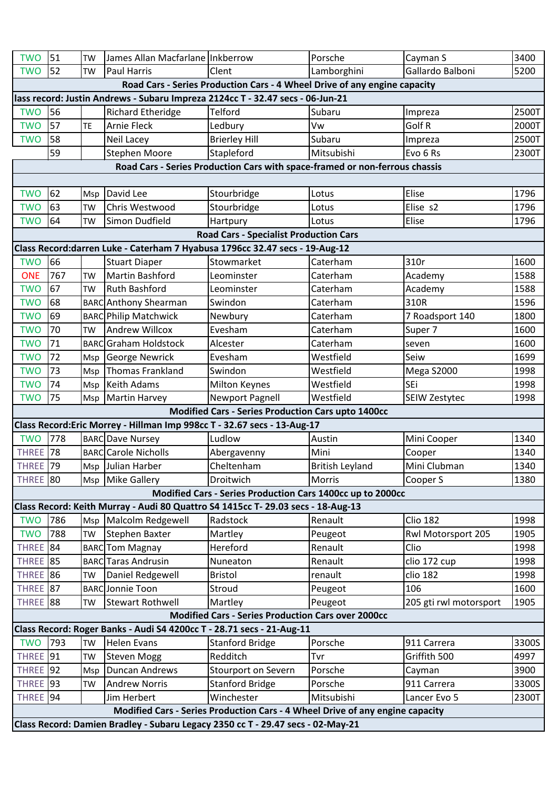| <b>TWO</b>                                                                      | 51  | <b>TW</b> | James Allan Macfarlane Inkberrow                                                 |                                                                             | Porsche                | Cayman S               | 3400  |  |
|---------------------------------------------------------------------------------|-----|-----------|----------------------------------------------------------------------------------|-----------------------------------------------------------------------------|------------------------|------------------------|-------|--|
| <b>TWO</b>                                                                      | 52  | <b>TW</b> | <b>Paul Harris</b>                                                               | Clent                                                                       | Lamborghini            | Gallardo Balboni       | 5200  |  |
| Road Cars - Series Production Cars - 4 Wheel Drive of any engine capacity       |     |           |                                                                                  |                                                                             |                        |                        |       |  |
| lass record: Justin Andrews - Subaru Impreza 2124cc T - 32.47 secs - 06-Jun-21  |     |           |                                                                                  |                                                                             |                        |                        |       |  |
| <b>TWO</b>                                                                      | 56  |           | <b>Richard Etheridge</b>                                                         | <b>Telford</b>                                                              | Subaru                 | Impreza                | 2500T |  |
| <b>TWO</b>                                                                      | 57  | <b>TE</b> | <b>Arnie Fleck</b>                                                               | Ledbury                                                                     | Vw                     | Golf R                 | 2000T |  |
| <b>TWO</b>                                                                      | 58  |           | Neil Lacey                                                                       | <b>Brierley Hill</b>                                                        | Subaru                 | Impreza                | 2500T |  |
|                                                                                 | 59  |           | <b>Stephen Moore</b>                                                             | Stapleford                                                                  | Mitsubishi             | Evo 6 Rs               | 2300T |  |
|                                                                                 |     |           |                                                                                  | Road Cars - Series Production Cars with space-framed or non-ferrous chassis |                        |                        |       |  |
|                                                                                 |     |           |                                                                                  |                                                                             |                        |                        |       |  |
| <b>TWO</b>                                                                      | 62  | Msp       | David Lee                                                                        | Stourbridge                                                                 | Lotus                  | Elise                  | 1796  |  |
| <b>TWO</b>                                                                      | 63  | <b>TW</b> | Chris Westwood                                                                   | Stourbridge                                                                 | Lotus                  | Elise s2               | 1796  |  |
| <b>TWO</b>                                                                      | 64  | <b>TW</b> | Simon Dudfield                                                                   | Hartpury                                                                    | Lotus                  | Elise                  | 1796  |  |
|                                                                                 |     |           |                                                                                  | <b>Road Cars - Specialist Production Cars</b>                               |                        |                        |       |  |
|                                                                                 |     |           | Class Record: darren Luke - Caterham 7 Hyabusa 1796cc 32.47 secs - 19-Aug-12     |                                                                             |                        |                        |       |  |
| <b>TWO</b>                                                                      | 66  |           | <b>Stuart Diaper</b>                                                             | Stowmarket                                                                  | Caterham               | 310r                   | 1600  |  |
| <b>ONE</b>                                                                      | 767 | <b>TW</b> | <b>Martin Bashford</b>                                                           | Leominster                                                                  | Caterham               | Academy                | 1588  |  |
| <b>TWO</b>                                                                      | 67  | <b>TW</b> | <b>Ruth Bashford</b>                                                             | Leominster                                                                  | Caterham               | Academy                | 1588  |  |
| <b>TWO</b>                                                                      | 68  |           | <b>BARC</b> Anthony Shearman                                                     | Swindon                                                                     | Caterham               | 310R                   | 1596  |  |
| <b>TWO</b>                                                                      | 69  |           | <b>BARC Philip Matchwick</b>                                                     | Newbury                                                                     | Caterham               | 7 Roadsport 140        | 1800  |  |
| <b>TWO</b>                                                                      | 70  | <b>TW</b> | <b>Andrew Willcox</b>                                                            | Evesham                                                                     | Caterham               | Super 7                | 1600  |  |
| <b>TWO</b>                                                                      | 71  |           | <b>BARC</b> Graham Holdstock                                                     | Alcester                                                                    | Caterham               | seven                  | 1600  |  |
| <b>TWO</b>                                                                      | 72  | Msp       | <b>George Newrick</b>                                                            | Evesham                                                                     | Westfield              | Seiw                   | 1699  |  |
| <b>TWO</b>                                                                      | 73  | Msp       | <b>Thomas Frankland</b>                                                          | Swindon                                                                     | Westfield              | Mega S2000             | 1998  |  |
| <b>TWO</b>                                                                      | 74  |           | Msp Keith Adams                                                                  | Milton Keynes                                                               | Westfield              | <b>SEi</b>             | 1998  |  |
| <b>TWO</b>                                                                      | 75  | Msp       | Martin Harvey                                                                    | <b>Newport Pagnell</b>                                                      | Westfield              | SEIW Zestytec          | 1998  |  |
|                                                                                 |     |           |                                                                                  | <b>Modified Cars - Series Production Cars upto 1400cc</b>                   |                        |                        |       |  |
|                                                                                 |     |           | Class Record: Eric Morrey - Hillman Imp 998cc T - 32.67 secs - 13-Aug-17         |                                                                             |                        |                        |       |  |
| <b>TWO</b>                                                                      | 778 |           | <b>BARC</b> Dave Nursey                                                          | Ludlow                                                                      | Austin                 | Mini Cooper            | 1340  |  |
| THREE <sup>78</sup>                                                             |     |           | <b>BARC</b> Carole Nicholls                                                      | Abergavenny                                                                 | Mini                   | Cooper                 | 1340  |  |
| <b>THREE</b> 79                                                                 |     |           | Msp Julian Harber                                                                | Cheltenham                                                                  | <b>British Leyland</b> | Mini Clubman           | 1340  |  |
| THREE 80                                                                        |     |           | Msp Mike Gallery                                                                 | Droitwich                                                                   | Morris                 | Cooper S               | 1380  |  |
|                                                                                 |     |           |                                                                                  | Modified Cars - Series Production Cars 1400cc up to 2000cc                  |                        |                        |       |  |
|                                                                                 |     |           | Class Record: Keith Murray - Audi 80 Quattro S4 1415cc T- 29.03 secs - 18-Aug-13 |                                                                             |                        |                        |       |  |
| <b>TWO</b>                                                                      | 786 | Msp       | Malcolm Redgewell                                                                | Radstock                                                                    | Renault                | <b>Clio 182</b>        | 1998  |  |
| <b>TWO</b>                                                                      | 788 | <b>TW</b> | Stephen Baxter                                                                   | Martley                                                                     | Peugeot                | Rwl Motorsport 205     | 1905  |  |
| THREE <sup>84</sup>                                                             |     |           | <b>BARC</b> Tom Magnay                                                           | Hereford                                                                    | Renault                | Clio                   | 1998  |  |
| <b>THREE</b> 85                                                                 |     |           | <b>BARC</b> Taras Andrusin                                                       | Nuneaton                                                                    | Renault                | clio 172 cup           | 1998  |  |
| THREE <sup>186</sup>                                                            |     | TW        | Daniel Redgewell                                                                 | <b>Bristol</b>                                                              | renault                | clio 182               | 1998  |  |
| <b>THREE</b> 87                                                                 |     |           | <b>BARC</b> Jonnie Toon                                                          | Stroud                                                                      | Peugeot                | 106                    | 1600  |  |
| THREE <sup>188</sup>                                                            |     | TW        | Stewart Rothwell                                                                 | Martley                                                                     | Peugeot                | 205 gti rwl motorsport | 1905  |  |
| <b>Modified Cars - Series Production Cars over 2000cc</b>                       |     |           |                                                                                  |                                                                             |                        |                        |       |  |
|                                                                                 |     |           | Class Record: Roger Banks - Audi S4 4200cc T - 28.71 secs - 21-Aug-11            |                                                                             |                        |                        |       |  |
| <b>TWO</b>                                                                      | 793 | <b>TW</b> | <b>Helen Evans</b>                                                               | <b>Stanford Bridge</b>                                                      | Porsche                | 911 Carrera            | 3300S |  |
| <b>THREE</b> 91                                                                 |     | <b>TW</b> | <b>Steven Mogg</b>                                                               | Redditch                                                                    | Tvr                    | Griffith 500           | 4997  |  |
| THREE <sup>192</sup>                                                            |     | Msp       | Duncan Andrews                                                                   | Stourport on Severn                                                         | Porsche                | Cayman                 | 3900  |  |
| THREE <sup>193</sup>                                                            |     | <b>TW</b> | <b>Andrew Norris</b>                                                             | <b>Stanford Bridge</b>                                                      | Porsche                | 911 Carrera            | 3300S |  |
| <b>THREE</b>                                                                    | 94  |           | Jim Herbert                                                                      | Winchester                                                                  | Mitsubishi             | Lancer Evo 5           | 2300T |  |
| Modified Cars - Series Production Cars - 4 Wheel Drive of any engine capacity   |     |           |                                                                                  |                                                                             |                        |                        |       |  |
| Class Record: Damien Bradley - Subaru Legacy 2350 cc T - 29.47 secs - 02-May-21 |     |           |                                                                                  |                                                                             |                        |                        |       |  |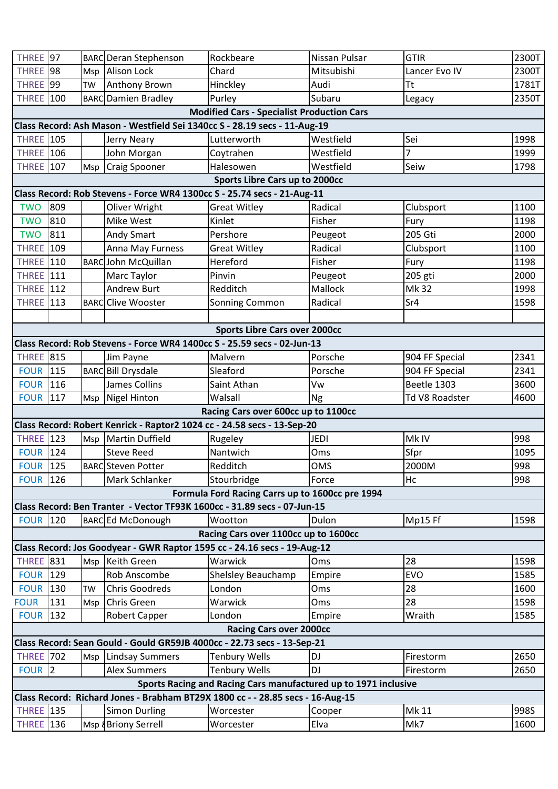| THREE <sup>197</sup>                                                                        |     |           | <b>BARC</b> Deran Stephenson                                             | Rockbeare                                         | Nissan Pulsar | <b>GTIR</b>    | 2300T |  |
|---------------------------------------------------------------------------------------------|-----|-----------|--------------------------------------------------------------------------|---------------------------------------------------|---------------|----------------|-------|--|
| THREE <sup>198</sup>                                                                        |     |           | Msp Alison Lock                                                          | Chard                                             | Mitsubishi    | Lancer Evo IV  | 2300T |  |
| THREE <sup>199</sup>                                                                        |     | TW        | Anthony Brown                                                            | Hinckley                                          | Audi          | <b>Tt</b>      | 1781T |  |
| <b>THREE</b>                                                                                | 100 |           | <b>BARC</b> Damien Bradley                                               | Purley                                            | Subaru        | Legacy         | 2350T |  |
|                                                                                             |     |           |                                                                          | <b>Modified Cars - Specialist Production Cars</b> |               |                |       |  |
| Class Record: Ash Mason - Westfield Sei 1340cc S - 28.19 secs - 11-Aug-19                   |     |           |                                                                          |                                                   |               |                |       |  |
| <b>THREE</b> 105                                                                            |     |           | <b>Jerry Neary</b>                                                       | Lutterworth                                       | Westfield     | Sei            | 1998  |  |
| <b>THREE</b> 106                                                                            |     |           | John Morgan                                                              | Coytrahen                                         | Westfield     | 7              | 1999  |  |
| <b>THREE</b> 107                                                                            |     |           | Msp Craig Spooner                                                        | Halesowen                                         | Westfield     | Seiw           | 1798  |  |
|                                                                                             |     |           |                                                                          | Sports Libre Cars up to 2000cc                    |               |                |       |  |
|                                                                                             |     |           | Class Record: Rob Stevens - Force WR4 1300cc S - 25.74 secs - 21-Aug-11  |                                                   |               |                |       |  |
| <b>TWO</b>                                                                                  | 809 |           | Oliver Wright                                                            | <b>Great Witley</b>                               | Radical       | Clubsport      | 1100  |  |
| <b>TWO</b>                                                                                  | 810 |           | Mike West                                                                | Kinlet                                            | Fisher        | Fury           | 1198  |  |
| <b>TWO</b>                                                                                  | 811 |           | <b>Andy Smart</b>                                                        | Pershore                                          | Peugeot       | 205 Gti        | 2000  |  |
| <b>THREE</b> 109                                                                            |     |           | Anna May Furness                                                         | <b>Great Witley</b>                               | Radical       | Clubsport      | 1100  |  |
| <b>THREE</b> 110                                                                            |     |           | <b>BARCJohn McQuillan</b>                                                | Hereford                                          | Fisher        | Fury           | 1198  |  |
| <b>THREE</b> 111                                                                            |     |           | Marc Taylor                                                              | Pinvin                                            | Peugeot       | 205 gti        | 2000  |  |
| <b>THREE</b> 112                                                                            |     |           | <b>Andrew Burt</b>                                                       | Redditch                                          | Mallock       | Mk 32          | 1998  |  |
| <b>THREE</b> 113                                                                            |     |           | <b>BARCClive Wooster</b>                                                 | Sonning Common                                    | Radical       | Sr4            | 1598  |  |
|                                                                                             |     |           |                                                                          |                                                   |               |                |       |  |
|                                                                                             |     |           |                                                                          | <b>Sports Libre Cars over 2000cc</b>              |               |                |       |  |
|                                                                                             |     |           | Class Record: Rob Stevens - Force WR4 1400cc S - 25.59 secs - 02-Jun-13  |                                                   |               |                |       |  |
| <b>THREE</b> 815                                                                            |     |           | Jim Payne                                                                | Malvern                                           | Porsche       | 904 FF Special | 2341  |  |
| <b>FOUR 115</b>                                                                             |     |           | <b>BARCBill Drysdale</b>                                                 | Sleaford                                          | Porsche       | 904 FF Special | 2341  |  |
| <b>FOUR 116</b>                                                                             |     |           | <b>James Collins</b>                                                     | Saint Athan                                       | Vw            | Beetle 1303    | 3600  |  |
| <b>FOUR 117</b>                                                                             |     |           | Msp Nigel Hinton                                                         | Walsall                                           | Ng            | Td V8 Roadster | 4600  |  |
|                                                                                             |     |           |                                                                          | Racing Cars over 600cc up to 1100cc               |               |                |       |  |
|                                                                                             |     |           | Class Record: Robert Kenrick - Raptor2 1024 cc - 24.58 secs - 13-Sep-20  |                                                   |               |                |       |  |
| <b>THREE</b> 123                                                                            |     |           | Msp Martin Duffield                                                      | Rugeley                                           | <b>JEDI</b>   | Mk IV          | 998   |  |
| <b>FOUR 124</b>                                                                             |     |           | <b>Steve Reed</b>                                                        | Nantwich                                          | Oms           | Sfpr           | 1095  |  |
| <b>FOUR 125</b>                                                                             |     |           | <b>BARC</b> Steven Potter                                                | Redditch                                          | <b>OMS</b>    | 2000M          | 998   |  |
| <b>FOUR 126</b>                                                                             |     |           | Mark Schlanker                                                           | Stourbridge                                       | Force         | Hc             | 998   |  |
|                                                                                             |     |           |                                                                          | Formula Ford Racing Carrs up to 1600cc pre 1994   |               |                |       |  |
|                                                                                             |     |           | Class Record: Ben Tranter - Vector TF93K 1600cc - 31.89 secs - 07-Jun-15 |                                                   |               |                |       |  |
| <b>FOUR 120</b>                                                                             |     |           | <b>BARC</b> Ed McDonough                                                 | Wootton                                           | Dulon         | Mp15 Ff        | 1598  |  |
| Racing Cars over 1100cc up to 1600cc                                                        |     |           |                                                                          |                                                   |               |                |       |  |
| Class Record: Jos Goodyear - GWR Raptor 1595 cc - 24.16 secs - 19-Aug-12                    |     |           |                                                                          |                                                   |               |                |       |  |
| <b>THREE</b> 831                                                                            |     |           | Msp Keith Green                                                          | Warwick                                           | Oms           | 28             | 1598  |  |
| <b>FOUR 129</b>                                                                             |     |           | Rob Anscombe                                                             | Shelsley Beauchamp                                | Empire        | <b>EVO</b>     | 1585  |  |
| <b>FOUR 130</b>                                                                             |     | <b>TW</b> | <b>Chris Goodreds</b>                                                    | London                                            | Oms           | 28             | 1600  |  |
| <b>FOUR</b>                                                                                 | 131 | Msp       | <b>Chris Green</b>                                                       | Warwick                                           | Oms           | 28             | 1598  |  |
| <b>FOUR</b>                                                                                 | 132 |           | <b>Robert Capper</b>                                                     | London                                            | Empire        | Wraith         | 1585  |  |
| <b>Racing Cars over 2000cc</b>                                                              |     |           |                                                                          |                                                   |               |                |       |  |
| Class Record: Sean Gould - Gould GR59JB 4000cc - 22.73 secs - 13-Sep-21<br><b>THREE</b> 702 |     |           |                                                                          |                                                   |               |                |       |  |
|                                                                                             |     | Msp       | <b>Lindsay Summers</b>                                                   | <b>Tenbury Wells</b>                              | DJ            | Firestorm      | 2650  |  |
| FOUR 2                                                                                      |     |           | <b>Alex Summers</b>                                                      | <b>Tenbury Wells</b>                              | DJ            | Firestorm      | 2650  |  |
| Sports Racing and Racing Cars manufactured up to 1971 inclusive                             |     |           |                                                                          |                                                   |               |                |       |  |
| Class Record: Richard Jones - Brabham BT29X 1800 cc - - 28.85 secs - 16-Aug-15              |     |           |                                                                          |                                                   |               |                |       |  |
| <b>THREE</b> 135                                                                            |     |           | <b>Simon Durling</b>                                                     | Worcester                                         | Cooper        | Mk 11          | 998S  |  |
| <b>THREE</b> 136                                                                            |     |           | Msp & Briony Serrell                                                     | Worcester                                         | Elva          | Mk7            | 1600  |  |